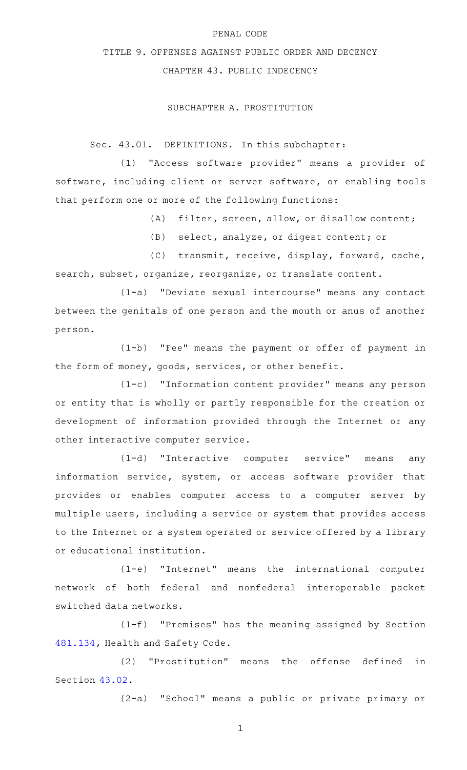#### PENAL CODE

# TITLE 9. OFFENSES AGAINST PUBLIC ORDER AND DECENCY

## CHAPTER 43. PUBLIC INDECENCY

### SUBCHAPTER A. PROSTITUTION

Sec. 43.01. DEFINITIONS. In this subchapter:

(1) "Access software provider" means a provider of software, including client or server software, or enabling tools that perform one or more of the following functions:

 $(A)$  filter, screen, allow, or disallow content;

(B) select, analyze, or digest content; or

(C) transmit, receive, display, forward, cache, search, subset, organize, reorganize, or translate content.

(1-a) "Deviate sexual intercourse" means any contact between the genitals of one person and the mouth or anus of another person.

 $(1-b)$  "Fee" means the payment or offer of payment in the form of money, goods, services, or other benefit.

 $(1-c)$  "Information content provider" means any person or entity that is wholly or partly responsible for the creation or development of information provided through the Internet or any other interactive computer service.

(1-d) "Interactive computer service" means any information service, system, or access software provider that provides or enables computer access to a computer server by multiple users, including a service or system that provides access to the Internet or a system operated or service offered by a library or educational institution.

(1-e) "Internet" means the international computer network of both federal and nonfederal interoperable packet switched data networks.

(1-f) "Premises" has the meaning assigned by Section [481.134,](http://www.statutes.legis.state.tx.us/GetStatute.aspx?Code=HS&Value=481.134) Health and Safety Code.

(2) "Prostitution" means the offense defined in Section [43.02.](http://www.statutes.legis.state.tx.us/GetStatute.aspx?Code=PE&Value=43.02)

(2-a) "School" means a public or private primary or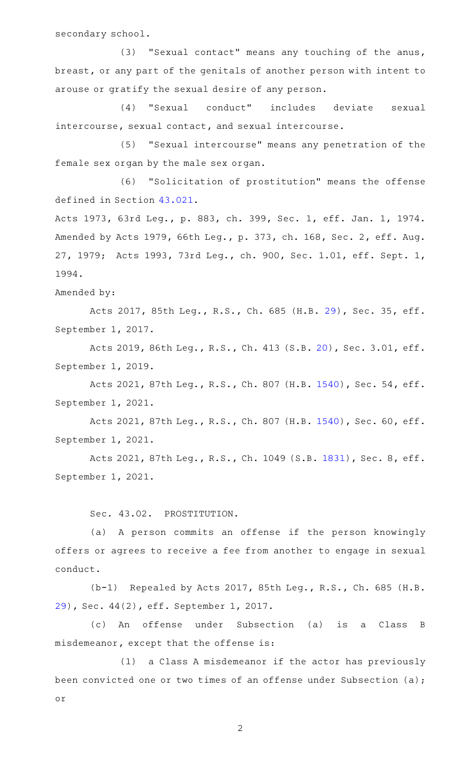secondary school.

(3) "Sexual contact" means any touching of the anus, breast, or any part of the genitals of another person with intent to arouse or gratify the sexual desire of any person.

(4) "Sexual conduct" includes deviate sexual intercourse, sexual contact, and sexual intercourse.

(5) "Sexual intercourse" means any penetration of the female sex organ by the male sex organ.

(6) "Solicitation of prostitution" means the offense defined in Section [43.021](http://www.statutes.legis.state.tx.us/GetStatute.aspx?Code=PE&Value=43.021).

Acts 1973, 63rd Leg., p. 883, ch. 399, Sec. 1, eff. Jan. 1, 1974. Amended by Acts 1979, 66th Leg., p. 373, ch. 168, Sec. 2, eff. Aug. 27, 1979; Acts 1993, 73rd Leg., ch. 900, Sec. 1.01, eff. Sept. 1, 1994.

Amended by:

Acts 2017, 85th Leg., R.S., Ch. 685 (H.B. [29\)](http://www.legis.state.tx.us/tlodocs/85R/billtext/html/HB00029F.HTM), Sec. 35, eff. September 1, 2017.

Acts 2019, 86th Leg., R.S., Ch. 413 (S.B. [20\)](http://www.legis.state.tx.us/tlodocs/86R/billtext/html/SB00020F.HTM), Sec. 3.01, eff. September 1, 2019.

Acts 2021, 87th Leg., R.S., Ch. 807 (H.B. [1540\)](http://www.legis.state.tx.us/tlodocs/87R/billtext/html/HB01540F.HTM), Sec. 54, eff. September 1, 2021.

Acts 2021, 87th Leg., R.S., Ch. 807 (H.B. [1540\)](http://www.legis.state.tx.us/tlodocs/87R/billtext/html/HB01540F.HTM), Sec. 60, eff. September 1, 2021.

Acts 2021, 87th Leg., R.S., Ch. 1049 (S.B. [1831](http://www.legis.state.tx.us/tlodocs/87R/billtext/html/SB01831F.HTM)), Sec. 8, eff. September 1, 2021.

Sec. 43.02. PROSTITUTION.

(a) A person commits an offense if the person knowingly offers or agrees to receive a fee from another to engage in sexual conduct.

(b-1) Repealed by Acts 2017, 85th Leg., R.S., Ch. 685 (H.B. [29](http://www.legis.state.tx.us/tlodocs/85R/billtext/html/HB00029F.HTM)), Sec. 44(2), eff. September 1, 2017.

(c)AAAn offense under Subsection (a) is a Class B misdemeanor, except that the offense is:

(1) a Class A misdemeanor if the actor has previously been convicted one or two times of an offense under Subsection (a); or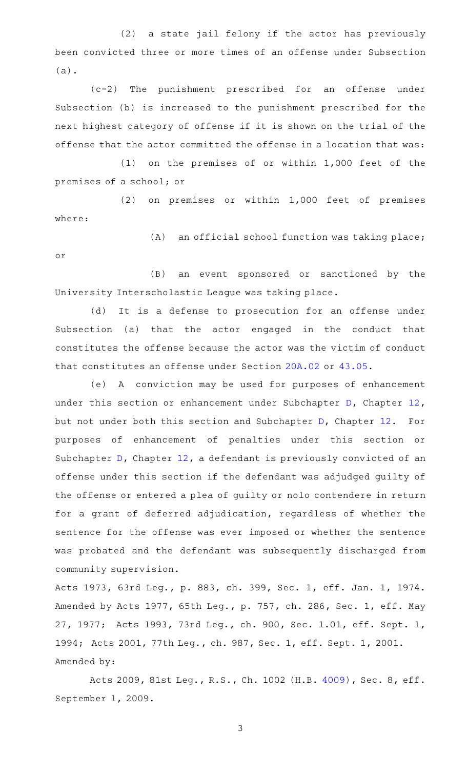(2) a state jail felony if the actor has previously been convicted three or more times of an offense under Subsection (a).

(c-2) The punishment prescribed for an offense under Subsection (b) is increased to the punishment prescribed for the next highest category of offense if it is shown on the trial of the offense that the actor committed the offense in a location that was:

 $(1)$  on the premises of or within 1,000 feet of the premises of a school; or

(2) on premises or within 1,000 feet of premises where:

 $(A)$  an official school function was taking place; or

(B) an event sponsored or sanctioned by the University Interscholastic League was taking place.

(d) It is a defense to prosecution for an offense under Subsection (a) that the actor engaged in the conduct that constitutes the offense because the actor was the victim of conduct that constitutes an offense under Section [20A.02](http://www.statutes.legis.state.tx.us/GetStatute.aspx?Code=PE&Value=20A.02) or [43.05](http://www.statutes.legis.state.tx.us/GetStatute.aspx?Code=PE&Value=43.05).

(e) A conviction may be used for purposes of enhancement under this section or enhancement under Subchapter [D,](http://www.statutes.legis.state.tx.us/GetStatute.aspx?Code=PE&Value=12.41) Chapter [12](http://www.statutes.legis.state.tx.us/GetStatute.aspx?Code=PE&Value=12), but not under both this section and Subchapter [D,](http://www.statutes.legis.state.tx.us/GetStatute.aspx?Code=PE&Value=12.41) Chapter [12.](http://www.statutes.legis.state.tx.us/GetStatute.aspx?Code=PE&Value=12) For purposes of enhancement of penalties under this section or Subchapter [D,](http://www.statutes.legis.state.tx.us/GetStatute.aspx?Code=PE&Value=12.41) Chapter [12](http://www.statutes.legis.state.tx.us/GetStatute.aspx?Code=PE&Value=12), a defendant is previously convicted of an offense under this section if the defendant was adjudged guilty of the offense or entered a plea of guilty or nolo contendere in return for a grant of deferred adjudication, regardless of whether the sentence for the offense was ever imposed or whether the sentence was probated and the defendant was subsequently discharged from community supervision.

Acts 1973, 63rd Leg., p. 883, ch. 399, Sec. 1, eff. Jan. 1, 1974. Amended by Acts 1977, 65th Leg., p. 757, ch. 286, Sec. 1, eff. May 27, 1977; Acts 1993, 73rd Leg., ch. 900, Sec. 1.01, eff. Sept. 1, 1994; Acts 2001, 77th Leg., ch. 987, Sec. 1, eff. Sept. 1, 2001. Amended by:

Acts 2009, 81st Leg., R.S., Ch. 1002 (H.B. [4009](http://www.legis.state.tx.us/tlodocs/81R/billtext/html/HB04009F.HTM)), Sec. 8, eff. September 1, 2009.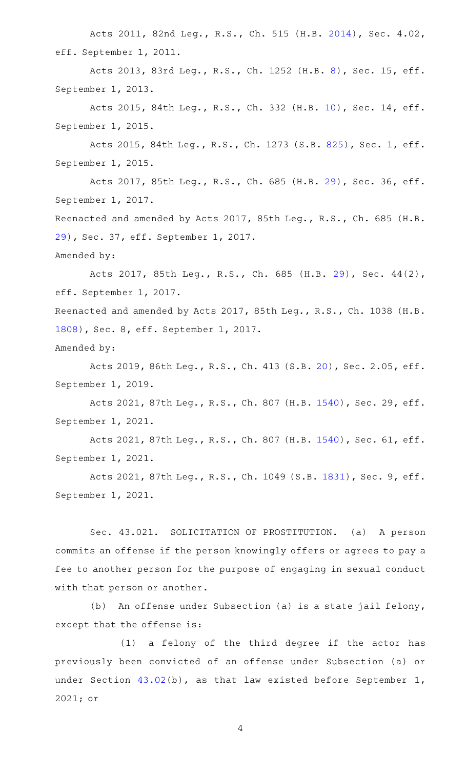Acts 2011, 82nd Leg., R.S., Ch. 515 (H.B. [2014\)](http://www.legis.state.tx.us/tlodocs/82R/billtext/html/HB02014F.HTM), Sec. 4.02, eff. September 1, 2011.

Acts 2013, 83rd Leg., R.S., Ch. 1252 (H.B. [8\)](http://www.legis.state.tx.us/tlodocs/83R/billtext/html/HB00008F.HTM), Sec. 15, eff. September 1, 2013.

Acts 2015, 84th Leg., R.S., Ch. 332 (H.B. [10\)](http://www.legis.state.tx.us/tlodocs/84R/billtext/html/HB00010F.HTM), Sec. 14, eff. September 1, 2015.

Acts 2015, 84th Leg., R.S., Ch. 1273 (S.B. [825](http://www.legis.state.tx.us/tlodocs/84R/billtext/html/SB00825F.HTM)), Sec. 1, eff. September 1, 2015.

Acts 2017, 85th Leg., R.S., Ch. 685 (H.B. [29\)](http://www.legis.state.tx.us/tlodocs/85R/billtext/html/HB00029F.HTM), Sec. 36, eff. September 1, 2017.

Reenacted and amended by Acts 2017, 85th Leg., R.S., Ch. 685 (H.B. [29](http://www.legis.state.tx.us/tlodocs/85R/billtext/html/HB00029F.HTM)), Sec. 37, eff. September 1, 2017.

Amended by:

Acts 2017, 85th Leg., R.S., Ch. 685 (H.B. [29\)](http://www.legis.state.tx.us/tlodocs/85R/billtext/html/HB00029F.HTM), Sec. 44(2), eff. September 1, 2017.

Reenacted and amended by Acts 2017, 85th Leg., R.S., Ch. 1038 (H.B. [1808](http://www.legis.state.tx.us/tlodocs/85R/billtext/html/HB01808F.HTM)), Sec. 8, eff. September 1, 2017.

Amended by:

Acts 2019, 86th Leg., R.S., Ch. 413 (S.B. [20\)](http://www.legis.state.tx.us/tlodocs/86R/billtext/html/SB00020F.HTM), Sec. 2.05, eff. September 1, 2019.

Acts 2021, 87th Leg., R.S., Ch. 807 (H.B. [1540\)](http://www.legis.state.tx.us/tlodocs/87R/billtext/html/HB01540F.HTM), Sec. 29, eff. September 1, 2021.

Acts 2021, 87th Leg., R.S., Ch. 807 (H.B. [1540\)](http://www.legis.state.tx.us/tlodocs/87R/billtext/html/HB01540F.HTM), Sec. 61, eff. September 1, 2021.

Acts 2021, 87th Leg., R.S., Ch. 1049 (S.B. [1831](http://www.legis.state.tx.us/tlodocs/87R/billtext/html/SB01831F.HTM)), Sec. 9, eff. September 1, 2021.

Sec. 43.021. SOLICITATION OF PROSTITUTION. (a) A person commits an offense if the person knowingly offers or agrees to pay a fee to another person for the purpose of engaging in sexual conduct with that person or another.

(b) An offense under Subsection (a) is a state jail felony, except that the offense is:

(1) a felony of the third degree if the actor has previously been convicted of an offense under Subsection (a) or under Section [43.02\(](http://www.statutes.legis.state.tx.us/GetStatute.aspx?Code=PE&Value=43.02)b), as that law existed before September 1, 2021; or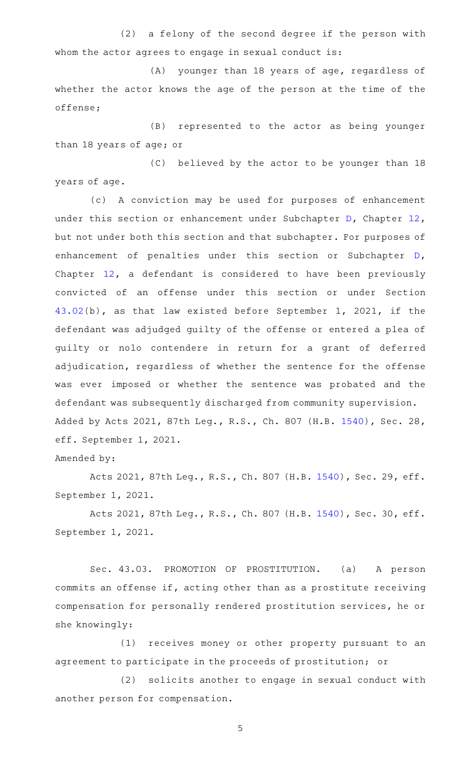(2) a felony of the second degree if the person with whom the actor agrees to engage in sexual conduct is:

(A) younger than 18 years of age, regardless of whether the actor knows the age of the person at the time of the offense;

(B) represented to the actor as being younger than 18 years of age; or

(C) believed by the actor to be younger than 18 years of age.

(c) A conviction may be used for purposes of enhancement under this section or enhancement under Subchapter [D,](http://www.statutes.legis.state.tx.us/GetStatute.aspx?Code=PE&Value=12.41) Chapter [12](http://www.statutes.legis.state.tx.us/GetStatute.aspx?Code=PE&Value=12), but not under both this section and that subchapter. For purposes of enhancement of penalties under this section or Subchapter [D](http://www.statutes.legis.state.tx.us/GetStatute.aspx?Code=PE&Value=12.41), Chapter [12](http://www.statutes.legis.state.tx.us/GetStatute.aspx?Code=PE&Value=12), a defendant is considered to have been previously convicted of an offense under this section or under Section [43.02\(](http://www.statutes.legis.state.tx.us/GetStatute.aspx?Code=PE&Value=43.02)b), as that law existed before September 1, 2021, if the defendant was adjudged guilty of the offense or entered a plea of guilty or nolo contendere in return for a grant of deferred adjudication, regardless of whether the sentence for the offense was ever imposed or whether the sentence was probated and the defendant was subsequently discharged from community supervision. Added by Acts 2021, 87th Leg., R.S., Ch. 807 (H.B. [1540\)](http://www.legis.state.tx.us/tlodocs/87R/billtext/html/HB01540F.HTM), Sec. 28, eff. September 1, 2021.

Amended by:

Acts 2021, 87th Leg., R.S., Ch. 807 (H.B. [1540\)](http://www.legis.state.tx.us/tlodocs/87R/billtext/html/HB01540F.HTM), Sec. 29, eff. September 1, 2021.

Acts 2021, 87th Leg., R.S., Ch. 807 (H.B. [1540\)](http://www.legis.state.tx.us/tlodocs/87R/billtext/html/HB01540F.HTM), Sec. 30, eff. September 1, 2021.

Sec. 43.03. PROMOTION OF PROSTITUTION. (a) A person commits an offense if, acting other than as a prostitute receiving compensation for personally rendered prostitution services, he or she knowingly:

(1) receives money or other property pursuant to an agreement to participate in the proceeds of prostitution; or

(2) solicits another to engage in sexual conduct with another person for compensation.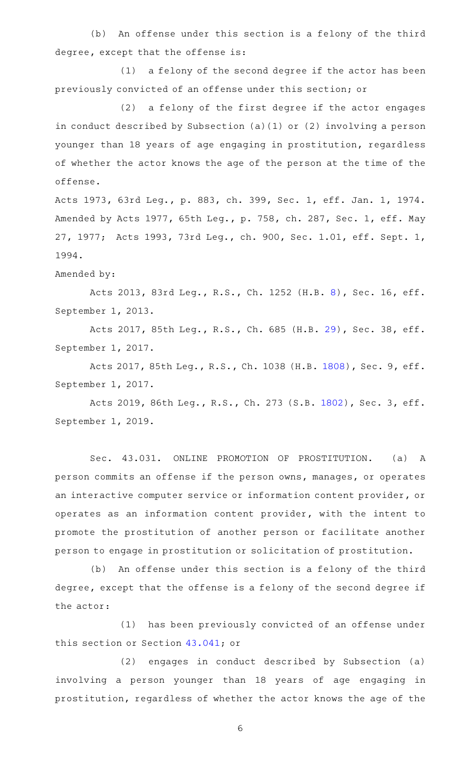(b) An offense under this section is a felony of the third degree, except that the offense is:

(1) a felony of the second degree if the actor has been previously convicted of an offense under this section; or

(2) a felony of the first degree if the actor engages in conduct described by Subsection (a)(1) or (2) involving a person younger than 18 years of age engaging in prostitution, regardless of whether the actor knows the age of the person at the time of the offense.

Acts 1973, 63rd Leg., p. 883, ch. 399, Sec. 1, eff. Jan. 1, 1974. Amended by Acts 1977, 65th Leg., p. 758, ch. 287, Sec. 1, eff. May 27, 1977; Acts 1993, 73rd Leg., ch. 900, Sec. 1.01, eff. Sept. 1, 1994.

#### Amended by:

Acts 2013, 83rd Leg., R.S., Ch. 1252 (H.B. [8\)](http://www.legis.state.tx.us/tlodocs/83R/billtext/html/HB00008F.HTM), Sec. 16, eff. September 1, 2013.

Acts 2017, 85th Leg., R.S., Ch. 685 (H.B. [29\)](http://www.legis.state.tx.us/tlodocs/85R/billtext/html/HB00029F.HTM), Sec. 38, eff. September 1, 2017.

Acts 2017, 85th Leg., R.S., Ch. 1038 (H.B. [1808](http://www.legis.state.tx.us/tlodocs/85R/billtext/html/HB01808F.HTM)), Sec. 9, eff. September 1, 2017.

Acts 2019, 86th Leg., R.S., Ch. 273 (S.B. [1802](http://www.legis.state.tx.us/tlodocs/86R/billtext/html/SB01802F.HTM)), Sec. 3, eff. September 1, 2019.

Sec. 43.031. ONLINE PROMOTION OF PROSTITUTION. (a) A person commits an offense if the person owns, manages, or operates an interactive computer service or information content provider, or operates as an information content provider, with the intent to promote the prostitution of another person or facilitate another person to engage in prostitution or solicitation of prostitution.

(b) An offense under this section is a felony of the third degree, except that the offense is a felony of the second degree if the actor:

(1) has been previously convicted of an offense under this section or Section [43.041](http://www.statutes.legis.state.tx.us/GetStatute.aspx?Code=PE&Value=43.041); or

(2) engages in conduct described by Subsection (a) involving a person younger than 18 years of age engaging in prostitution, regardless of whether the actor knows the age of the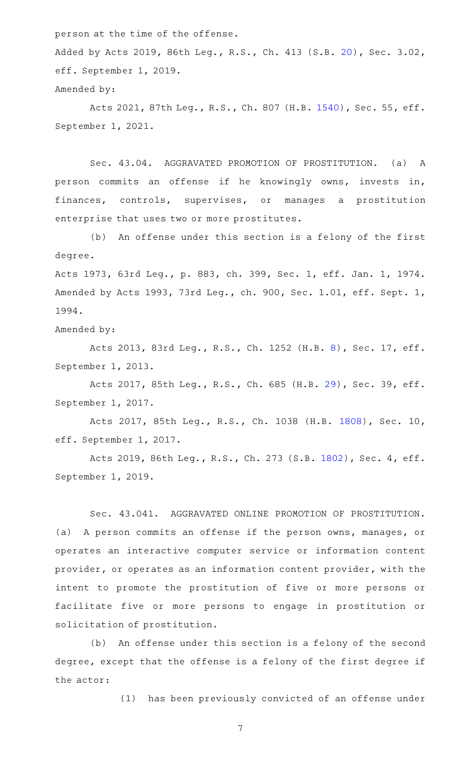person at the time of the offense.

Added by Acts 2019, 86th Leg., R.S., Ch. 413 (S.B. [20\)](http://www.legis.state.tx.us/tlodocs/86R/billtext/html/SB00020F.HTM), Sec. 3.02, eff. September 1, 2019.

Amended by:

Acts 2021, 87th Leg., R.S., Ch. 807 (H.B. [1540\)](http://www.legis.state.tx.us/tlodocs/87R/billtext/html/HB01540F.HTM), Sec. 55, eff. September 1, 2021.

Sec. 43.04. AGGRAVATED PROMOTION OF PROSTITUTION. (a) A person commits an offense if he knowingly owns, invests in, finances, controls, supervises, or manages a prostitution enterprise that uses two or more prostitutes.

(b) An offense under this section is a felony of the first degree.

Acts 1973, 63rd Leg., p. 883, ch. 399, Sec. 1, eff. Jan. 1, 1974. Amended by Acts 1993, 73rd Leg., ch. 900, Sec. 1.01, eff. Sept. 1, 1994.

Amended by:

Acts 2013, 83rd Leg., R.S., Ch. 1252 (H.B. [8\)](http://www.legis.state.tx.us/tlodocs/83R/billtext/html/HB00008F.HTM), Sec. 17, eff. September 1, 2013.

Acts 2017, 85th Leg., R.S., Ch. 685 (H.B. [29\)](http://www.legis.state.tx.us/tlodocs/85R/billtext/html/HB00029F.HTM), Sec. 39, eff. September 1, 2017.

Acts 2017, 85th Leg., R.S., Ch. 1038 (H.B. [1808](http://www.legis.state.tx.us/tlodocs/85R/billtext/html/HB01808F.HTM)), Sec. 10, eff. September 1, 2017.

Acts 2019, 86th Leg., R.S., Ch. 273 (S.B. [1802](http://www.legis.state.tx.us/tlodocs/86R/billtext/html/SB01802F.HTM)), Sec. 4, eff. September 1, 2019.

Sec. 43.041. AGGRAVATED ONLINE PROMOTION OF PROSTITUTION. (a) A person commits an offense if the person owns, manages, or operates an interactive computer service or information content provider, or operates as an information content provider, with the intent to promote the prostitution of five or more persons or facilitate five or more persons to engage in prostitution or solicitation of prostitution.

(b) An offense under this section is a felony of the second degree, except that the offense is a felony of the first degree if the actor:

(1) has been previously convicted of an offense under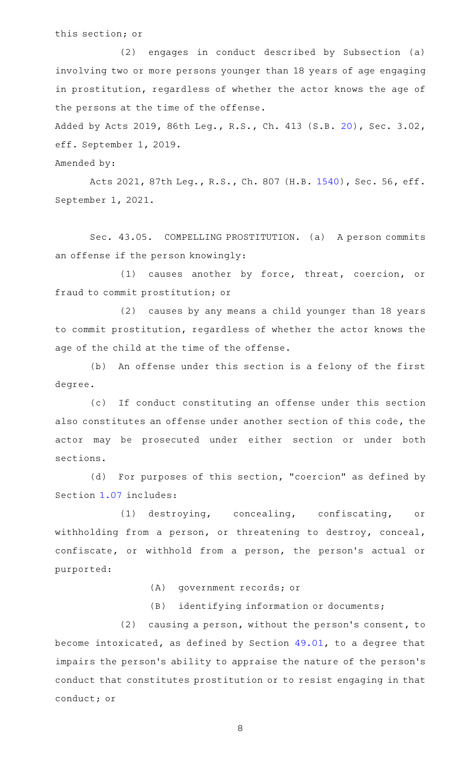this section; or

(2) engages in conduct described by Subsection (a) involving two or more persons younger than 18 years of age engaging in prostitution, regardless of whether the actor knows the age of the persons at the time of the offense.

Added by Acts 2019, 86th Leg., R.S., Ch. 413 (S.B. [20\)](http://www.legis.state.tx.us/tlodocs/86R/billtext/html/SB00020F.HTM), Sec. 3.02, eff. September 1, 2019.

Amended by:

Acts 2021, 87th Leg., R.S., Ch. 807 (H.B. [1540\)](http://www.legis.state.tx.us/tlodocs/87R/billtext/html/HB01540F.HTM), Sec. 56, eff. September 1, 2021.

Sec. 43.05. COMPELLING PROSTITUTION. (a) A person commits an offense if the person knowingly:

(1) causes another by force, threat, coercion, or fraud to commit prostitution; or

(2) causes by any means a child younger than 18 years to commit prostitution, regardless of whether the actor knows the age of the child at the time of the offense.

(b) An offense under this section is a felony of the first degree.

(c) If conduct constituting an offense under this section also constitutes an offense under another section of this code, the actor may be prosecuted under either section or under both sections.

(d) For purposes of this section, "coercion" as defined by Section [1.07](http://www.statutes.legis.state.tx.us/GetStatute.aspx?Code=PE&Value=1.07) includes:

(1) destroying, concealing, confiscating, or withholding from a person, or threatening to destroy, conceal, confiscate, or withhold from a person, the person's actual or purported:

(A) government records; or

(B) identifying information or documents;

 $(2)$  causing a person, without the person's consent, to become intoxicated, as defined by Section [49.01,](http://www.statutes.legis.state.tx.us/GetStatute.aspx?Code=PE&Value=49.01) to a degree that impairs the person's ability to appraise the nature of the person's conduct that constitutes prostitution or to resist engaging in that conduct; or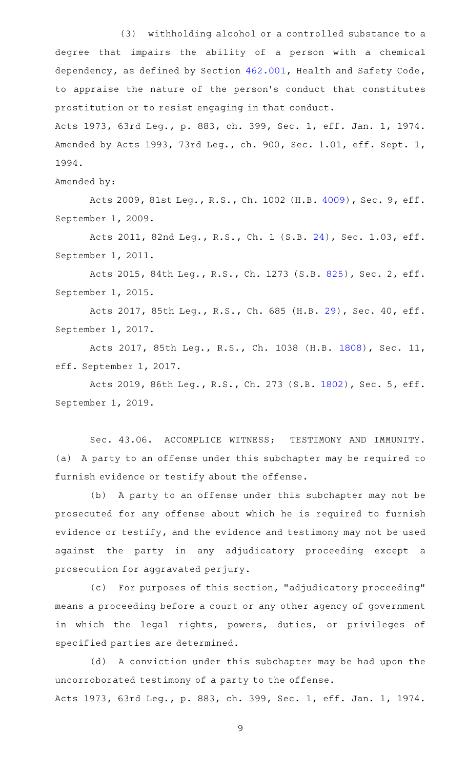(3) withholding alcohol or a controlled substance to a degree that impairs the ability of a person with a chemical dependency, as defined by Section [462.001,](http://www.statutes.legis.state.tx.us/GetStatute.aspx?Code=HS&Value=462.001) Health and Safety Code, to appraise the nature of the person 's conduct that constitutes prostitution or to resist engaging in that conduct.

Acts 1973, 63rd Leg., p. 883, ch. 399, Sec. 1, eff. Jan. 1, 1974. Amended by Acts 1993, 73rd Leg., ch. 900, Sec. 1.01, eff. Sept. 1, 1994.

Amended by:

Acts 2009, 81st Leg., R.S., Ch. 1002 (H.B. [4009](http://www.legis.state.tx.us/tlodocs/81R/billtext/html/HB04009F.HTM)), Sec. 9, eff. September 1, 2009.

Acts 2011, 82nd Leg., R.S., Ch. 1 (S.B. [24\)](http://www.legis.state.tx.us/tlodocs/82R/billtext/html/SB00024F.HTM), Sec. 1.03, eff. September 1, 2011.

Acts 2015, 84th Leg., R.S., Ch. 1273 (S.B. [825](http://www.legis.state.tx.us/tlodocs/84R/billtext/html/SB00825F.HTM)), Sec. 2, eff. September 1, 2015.

Acts 2017, 85th Leg., R.S., Ch. 685 (H.B. [29\)](http://www.legis.state.tx.us/tlodocs/85R/billtext/html/HB00029F.HTM), Sec. 40, eff. September 1, 2017.

Acts 2017, 85th Leg., R.S., Ch. 1038 (H.B. [1808](http://www.legis.state.tx.us/tlodocs/85R/billtext/html/HB01808F.HTM)), Sec. 11, eff. September 1, 2017.

Acts 2019, 86th Leg., R.S., Ch. 273 (S.B. [1802](http://www.legis.state.tx.us/tlodocs/86R/billtext/html/SB01802F.HTM)), Sec. 5, eff. September 1, 2019.

Sec. 43.06. ACCOMPLICE WITNESS; TESTIMONY AND IMMUNITY. (a) A party to an offense under this subchapter may be required to furnish evidence or testify about the offense.

(b) A party to an offense under this subchapter may not be prosecuted for any offense about which he is required to furnish evidence or testify, and the evidence and testimony may not be used against the party in any adjudicatory proceeding except a prosecution for aggravated perjury.

(c) For purposes of this section, "adjudicatory proceeding" means a proceeding before a court or any other agency of government in which the legal rights, powers, duties, or privileges of specified parties are determined.

(d) A conviction under this subchapter may be had upon the uncorroborated testimony of a party to the offense. Acts 1973, 63rd Leg., p. 883, ch. 399, Sec. 1, eff. Jan. 1, 1974.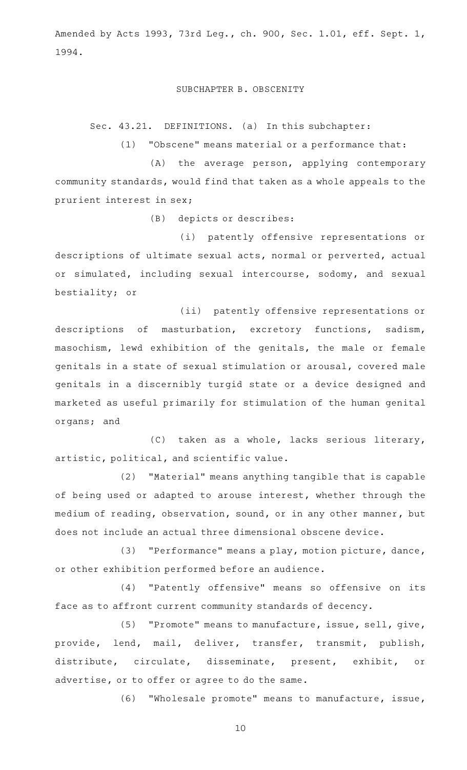Amended by Acts 1993, 73rd Leg., ch. 900, Sec. 1.01, eff. Sept. 1, 1994.

### SUBCHAPTER B. OBSCENITY

Sec. 43.21. DEFINITIONS. (a) In this subchapter:

 $(1)$  "Obscene" means material or a performance that:

(A) the average person, applying contemporary community standards, would find that taken as a whole appeals to the prurient interest in sex;

(B) depicts or describes:

(i) patently offensive representations or descriptions of ultimate sexual acts, normal or perverted, actual or simulated, including sexual intercourse, sodomy, and sexual bestiality; or

(ii) patently offensive representations or descriptions of masturbation, excretory functions, sadism, masochism, lewd exhibition of the genitals, the male or female genitals in a state of sexual stimulation or arousal, covered male genitals in a discernibly turgid state or a device designed and marketed as useful primarily for stimulation of the human genital organs; and

(C) taken as a whole, lacks serious literary, artistic, political, and scientific value.

(2) "Material" means anything tangible that is capable of being used or adapted to arouse interest, whether through the medium of reading, observation, sound, or in any other manner, but does not include an actual three dimensional obscene device.

(3) "Performance" means a play, motion picture, dance, or other exhibition performed before an audience.

(4) "Patently offensive" means so offensive on its face as to affront current community standards of decency.

(5) "Promote" means to manufacture, issue, sell, give, provide, lend, mail, deliver, transfer, transmit, publish, distribute, circulate, disseminate, present, exhibit, or advertise, or to offer or agree to do the same.

(6) "Wholesale promote" means to manufacture, issue,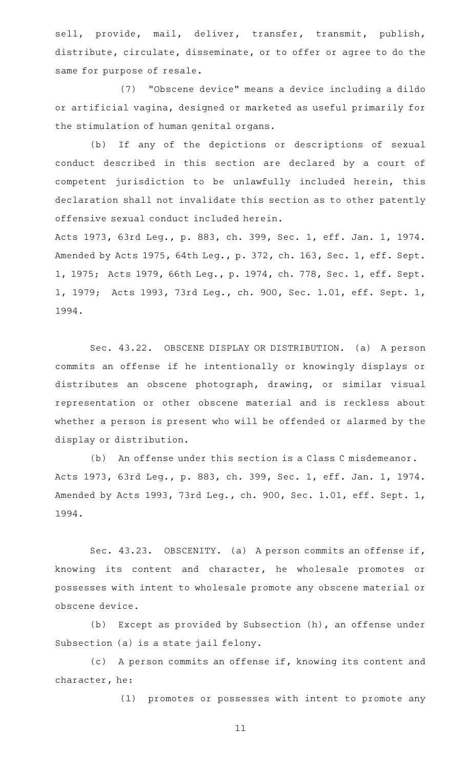sell, provide, mail, deliver, transfer, transmit, publish, distribute, circulate, disseminate, or to offer or agree to do the same for purpose of resale.

(7) "Obscene device" means a device including a dildo or artificial vagina, designed or marketed as useful primarily for the stimulation of human genital organs.

(b) If any of the depictions or descriptions of sexual conduct described in this section are declared by a court of competent jurisdiction to be unlawfully included herein, this declaration shall not invalidate this section as to other patently offensive sexual conduct included herein.

Acts 1973, 63rd Leg., p. 883, ch. 399, Sec. 1, eff. Jan. 1, 1974. Amended by Acts 1975, 64th Leg., p. 372, ch. 163, Sec. 1, eff. Sept. 1, 1975; Acts 1979, 66th Leg., p. 1974, ch. 778, Sec. 1, eff. Sept. 1, 1979; Acts 1993, 73rd Leg., ch. 900, Sec. 1.01, eff. Sept. 1, 1994.

Sec. 43.22. OBSCENE DISPLAY OR DISTRIBUTION. (a) A person commits an offense if he intentionally or knowingly displays or distributes an obscene photograph, drawing, or similar visual representation or other obscene material and is reckless about whether a person is present who will be offended or alarmed by the display or distribution.

(b) An offense under this section is a Class C misdemeanor. Acts 1973, 63rd Leg., p. 883, ch. 399, Sec. 1, eff. Jan. 1, 1974. Amended by Acts 1993, 73rd Leg., ch. 900, Sec. 1.01, eff. Sept. 1, 1994.

Sec. 43.23. OBSCENITY. (a) A person commits an offense if, knowing its content and character, he wholesale promotes or possesses with intent to wholesale promote any obscene material or obscene device.

(b) Except as provided by Subsection (h), an offense under Subsection (a) is a state jail felony.

(c) A person commits an offense if, knowing its content and character, he:

(1) promotes or possesses with intent to promote any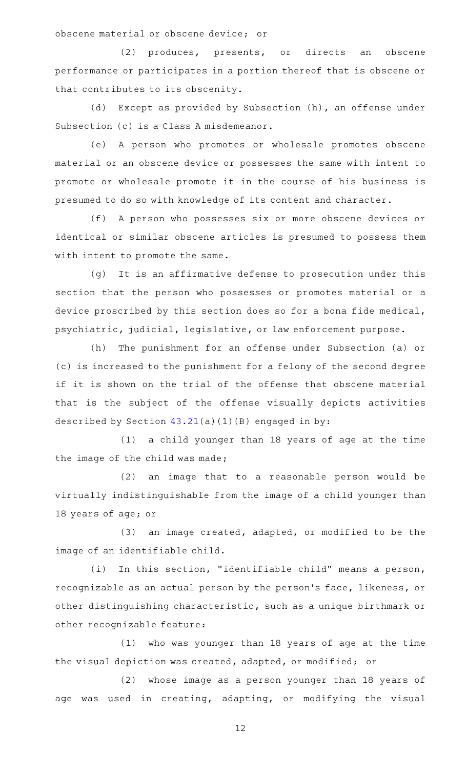obscene material or obscene device; or

(2) produces, presents, or directs an obscene performance or participates in a portion thereof that is obscene or that contributes to its obscenity.

(d) Except as provided by Subsection (h), an offense under Subsection (c) is a Class A misdemeanor.

(e) A person who promotes or wholesale promotes obscene material or an obscene device or possesses the same with intent to promote or wholesale promote it in the course of his business is presumed to do so with knowledge of its content and character.

(f) A person who possesses six or more obscene devices or identical or similar obscene articles is presumed to possess them with intent to promote the same.

(g) It is an affirmative defense to prosecution under this section that the person who possesses or promotes material or a device proscribed by this section does so for a bona fide medical, psychiatric, judicial, legislative, or law enforcement purpose.

(h) The punishment for an offense under Subsection (a) or (c) is increased to the punishment for a felony of the second degree if it is shown on the trial of the offense that obscene material that is the subject of the offense visually depicts activities described by Section  $43.21(a)(1)(B)$  $43.21(a)(1)(B)$  engaged in by:

(1) a child younger than 18 years of age at the time the image of the child was made;

(2) an image that to a reasonable person would be virtually indistinguishable from the image of a child younger than 18 years of age; or

 $(3)$  an image created, adapted, or modified to be the image of an identifiable child.

(i) In this section, "identifiable child" means a person, recognizable as an actual person by the person 's face, likeness, or other distinguishing characteristic, such as a unique birthmark or other recognizable feature:

(1) who was younger than 18 years of age at the time the visual depiction was created, adapted, or modified; or

(2) whose image as a person younger than 18 years of age was used in creating, adapting, or modifying the visual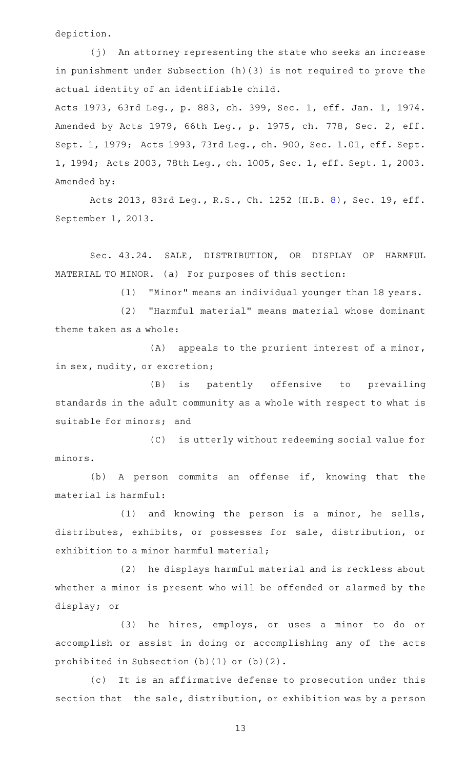depiction.

(j) An attorney representing the state who seeks an increase in punishment under Subsection (h)(3) is not required to prove the actual identity of an identifiable child.

Acts 1973, 63rd Leg., p. 883, ch. 399, Sec. 1, eff. Jan. 1, 1974. Amended by Acts 1979, 66th Leg., p. 1975, ch. 778, Sec. 2, eff. Sept. 1, 1979; Acts 1993, 73rd Leg., ch. 900, Sec. 1.01, eff. Sept. 1, 1994; Acts 2003, 78th Leg., ch. 1005, Sec. 1, eff. Sept. 1, 2003. Amended by:

Acts 2013, 83rd Leg., R.S., Ch. 1252 (H.B. [8\)](http://www.legis.state.tx.us/tlodocs/83R/billtext/html/HB00008F.HTM), Sec. 19, eff. September 1, 2013.

Sec. 43.24. SALE, DISTRIBUTION, OR DISPLAY OF HARMFUL MATERIAL TO MINOR. (a) For purposes of this section:

(1) "Minor" means an individual younger than 18 years.

(2) "Harmful material" means material whose dominant theme taken as a whole:

 $(A)$  appeals to the prurient interest of a minor, in sex, nudity, or excretion;

(B) is patently offensive to prevailing standards in the adult community as a whole with respect to what is suitable for minors; and

(C) is utterly without redeeming social value for minors.

(b) A person commits an offense if, knowing that the material is harmful:

(1) and knowing the person is a minor, he sells, distributes, exhibits, or possesses for sale, distribution, or exhibition to a minor harmful material;

(2) he displays harmful material and is reckless about whether a minor is present who will be offended or alarmed by the display; or

(3) he hires, employs, or uses a minor to do or accomplish or assist in doing or accomplishing any of the acts prohibited in Subsection (b)(1) or (b)(2).

(c) It is an affirmative defense to prosecution under this section that the sale, distribution, or exhibition was by a person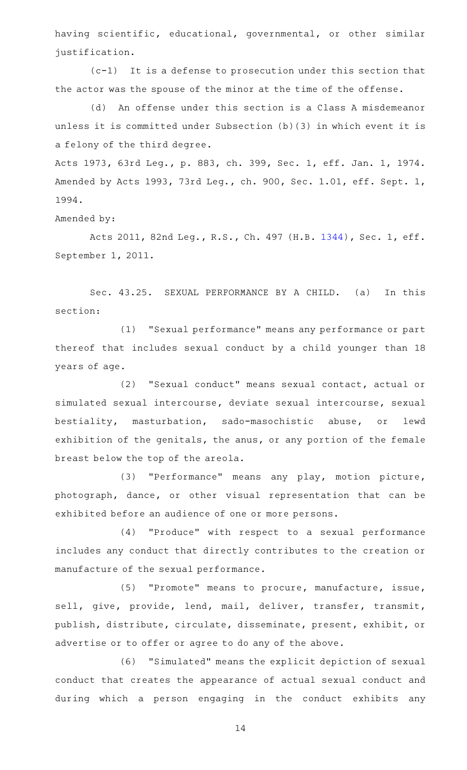having scientific, educational, governmental, or other similar justification.

 $(c-1)$  It is a defense to prosecution under this section that the actor was the spouse of the minor at the time of the offense.

(d) An offense under this section is a Class A misdemeanor unless it is committed under Subsection (b)(3) in which event it is a felony of the third degree.

Acts 1973, 63rd Leg., p. 883, ch. 399, Sec. 1, eff. Jan. 1, 1974. Amended by Acts 1993, 73rd Leg., ch. 900, Sec. 1.01, eff. Sept. 1, 1994.

Amended by:

Acts 2011, 82nd Leg., R.S., Ch. 497 (H.B. [1344](http://www.legis.state.tx.us/tlodocs/82R/billtext/html/HB01344F.HTM)), Sec. 1, eff. September 1, 2011.

Sec. 43.25. SEXUAL PERFORMANCE BY A CHILD. (a) In this section:

(1) "Sexual performance" means any performance or part thereof that includes sexual conduct by a child younger than 18 years of age.

(2) "Sexual conduct" means sexual contact, actual or simulated sexual intercourse, deviate sexual intercourse, sexual bestiality, masturbation, sado-masochistic abuse, or lewd exhibition of the genitals, the anus, or any portion of the female breast below the top of the areola.

(3) "Performance" means any play, motion picture, photograph, dance, or other visual representation that can be exhibited before an audience of one or more persons.

(4) "Produce" with respect to a sexual performance includes any conduct that directly contributes to the creation or manufacture of the sexual performance.

(5) "Promote" means to procure, manufacture, issue, sell, give, provide, lend, mail, deliver, transfer, transmit, publish, distribute, circulate, disseminate, present, exhibit, or advertise or to offer or agree to do any of the above.

(6) "Simulated" means the explicit depiction of sexual conduct that creates the appearance of actual sexual conduct and during which a person engaging in the conduct exhibits any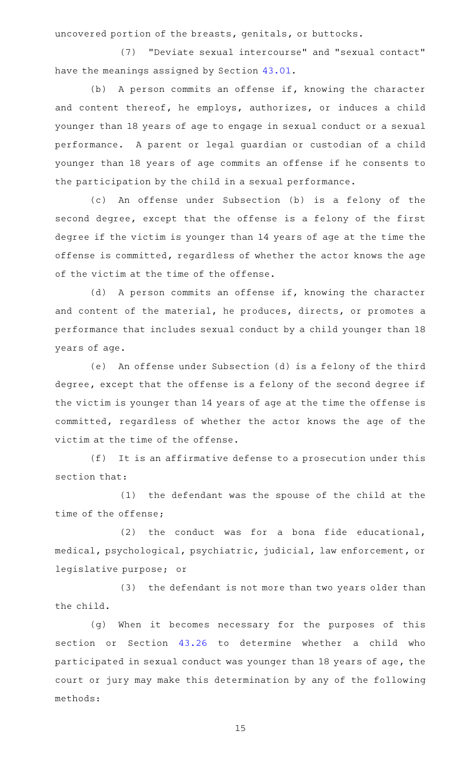uncovered portion of the breasts, genitals, or buttocks.

(7) "Deviate sexual intercourse" and "sexual contact" have the meanings assigned by Section [43.01](http://www.statutes.legis.state.tx.us/GetStatute.aspx?Code=PE&Value=43.01).

(b) A person commits an offense if, knowing the character and content thereof, he employs, authorizes, or induces a child younger than 18 years of age to engage in sexual conduct or a sexual performance. A parent or legal guardian or custodian of a child younger than 18 years of age commits an offense if he consents to the participation by the child in a sexual performance.

(c) An offense under Subsection (b) is a felony of the second degree, except that the offense is a felony of the first degree if the victim is younger than 14 years of age at the time the offense is committed, regardless of whether the actor knows the age of the victim at the time of the offense.

(d) A person commits an offense if, knowing the character and content of the material, he produces, directs, or promotes a performance that includes sexual conduct by a child younger than 18 years of age.

(e) An offense under Subsection (d) is a felony of the third degree, except that the offense is a felony of the second degree if the victim is younger than 14 years of age at the time the offense is committed, regardless of whether the actor knows the age of the victim at the time of the offense.

(f) It is an affirmative defense to a prosecution under this section that:

(1) the defendant was the spouse of the child at the time of the offense;

 $(2)$  the conduct was for a bona fide educational, medical, psychological, psychiatric, judicial, law enforcement, or legislative purpose; or

(3) the defendant is not more than two years older than the child.

(g) When it becomes necessary for the purposes of this section or Section [43.26](http://www.statutes.legis.state.tx.us/GetStatute.aspx?Code=PE&Value=43.26) to determine whether a child who participated in sexual conduct was younger than 18 years of age, the court or jury may make this determination by any of the following methods: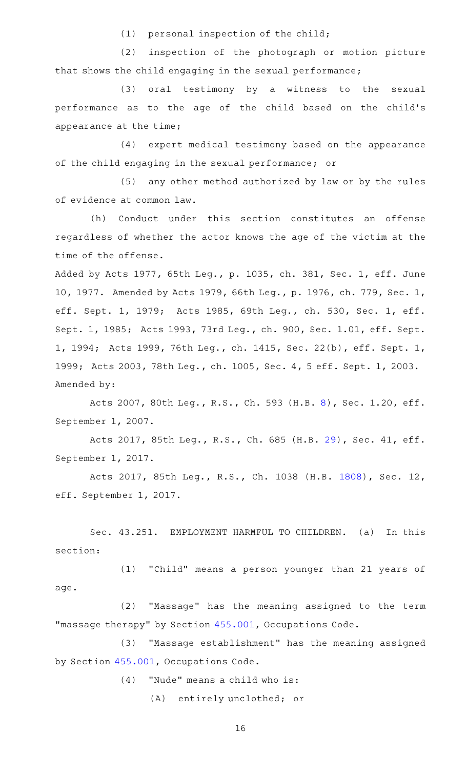$(1)$  personal inspection of the child;

(2) inspection of the photograph or motion picture that shows the child engaging in the sexual performance;

(3) oral testimony by a witness to the sexual performance as to the age of the child based on the child's appearance at the time;

(4) expert medical testimony based on the appearance of the child engaging in the sexual performance; or

(5) any other method authorized by law or by the rules of evidence at common law.

(h) Conduct under this section constitutes an offense regardless of whether the actor knows the age of the victim at the time of the offense.

Added by Acts 1977, 65th Leg., p. 1035, ch. 381, Sec. 1, eff. June 10, 1977. Amended by Acts 1979, 66th Leg., p. 1976, ch. 779, Sec. 1, eff. Sept. 1, 1979; Acts 1985, 69th Leg., ch. 530, Sec. 1, eff. Sept. 1, 1985; Acts 1993, 73rd Leg., ch. 900, Sec. 1.01, eff. Sept. 1, 1994; Acts 1999, 76th Leg., ch. 1415, Sec. 22(b), eff. Sept. 1, 1999; Acts 2003, 78th Leg., ch. 1005, Sec. 4, 5 eff. Sept. 1, 2003. Amended by:

Acts 2007, 80th Leg., R.S., Ch. 593 (H.B. [8\)](http://www.legis.state.tx.us/tlodocs/80R/billtext/html/HB00008F.HTM), Sec. 1.20, eff. September 1, 2007.

Acts 2017, 85th Leg., R.S., Ch. 685 (H.B. [29\)](http://www.legis.state.tx.us/tlodocs/85R/billtext/html/HB00029F.HTM), Sec. 41, eff. September 1, 2017.

Acts 2017, 85th Leg., R.S., Ch. 1038 (H.B. [1808](http://www.legis.state.tx.us/tlodocs/85R/billtext/html/HB01808F.HTM)), Sec. 12, eff. September 1, 2017.

Sec. 43.251. EMPLOYMENT HARMFUL TO CHILDREN. (a) In this section:

(1) "Child" means a person younger than 21 years of age.

(2) "Massage" has the meaning assigned to the term "massage therapy" by Section [455.001,](http://www.statutes.legis.state.tx.us/GetStatute.aspx?Code=OC&Value=455.001) Occupations Code.

(3) "Massage establishment" has the meaning assigned by Section [455.001,](http://www.statutes.legis.state.tx.us/GetStatute.aspx?Code=OC&Value=455.001) Occupations Code.

 $(4)$  "Nude" means a child who is:

(A) entirely unclothed; or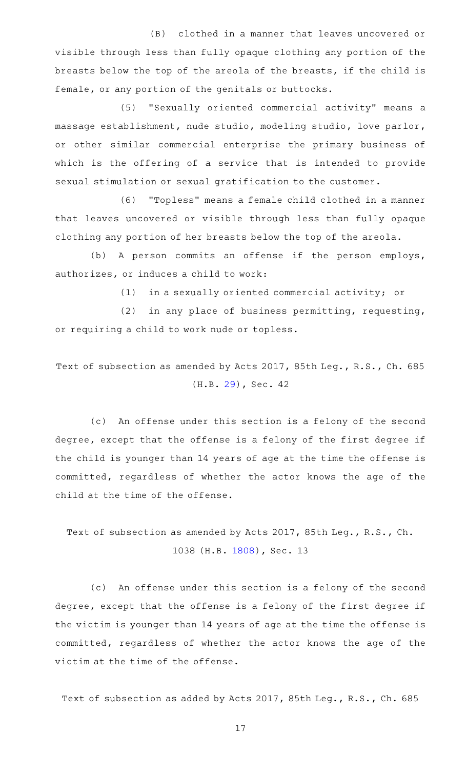(B) clothed in a manner that leaves uncovered or visible through less than fully opaque clothing any portion of the breasts below the top of the areola of the breasts, if the child is female, or any portion of the genitals or buttocks.

(5) "Sexually oriented commercial activity" means a massage establishment, nude studio, modeling studio, love parlor, or other similar commercial enterprise the primary business of which is the offering of a service that is intended to provide sexual stimulation or sexual gratification to the customer.

(6) "Topless" means a female child clothed in a manner that leaves uncovered or visible through less than fully opaque clothing any portion of her breasts below the top of the areola.

(b) A person commits an offense if the person employs, authorizes, or induces a child to work:

 $(1)$  in a sexually oriented commercial activity; or

 $(2)$  in any place of business permitting, requesting, or requiring a child to work nude or topless.

Text of subsection as amended by Acts 2017, 85th Leg., R.S., Ch. 685 (H.B. [29\)](http://www.legis.state.tx.us/tlodocs/85R/billtext/html/HB00029F.HTM), Sec. 42

(c) An offense under this section is a felony of the second degree, except that the offense is a felony of the first degree if the child is younger than 14 years of age at the time the offense is committed, regardless of whether the actor knows the age of the child at the time of the offense.

Text of subsection as amended by Acts 2017, 85th Leg., R.S., Ch. 1038 (H.B. [1808\)](http://www.legis.state.tx.us/tlodocs/85R/billtext/html/HB01808F.HTM), Sec. 13

(c) An offense under this section is a felony of the second degree, except that the offense is a felony of the first degree if the victim is younger than 14 years of age at the time the offense is committed, regardless of whether the actor knows the age of the victim at the time of the offense.

Text of subsection as added by Acts 2017, 85th Leg., R.S., Ch. 685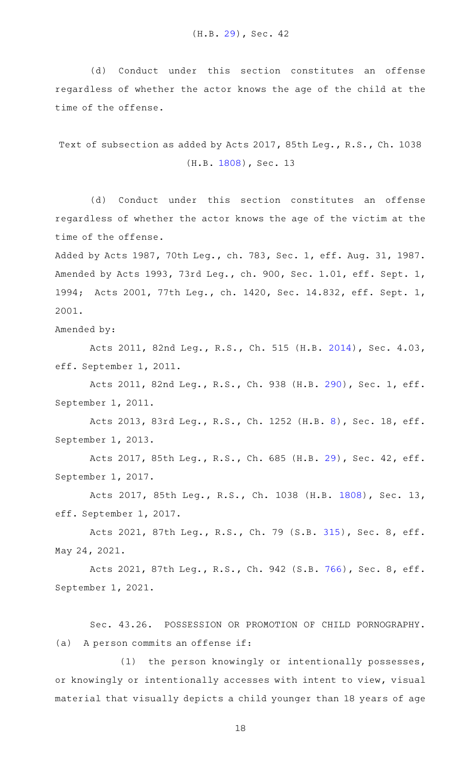(d) Conduct under this section constitutes an offense regardless of whether the actor knows the age of the child at the time of the offense.

Text of subsection as added by Acts 2017, 85th Leg., R.S., Ch. 1038 (H.B. [1808](http://www.legis.state.tx.us/tlodocs/85R/billtext/html/HB01808F.HTM)), Sec. 13

(d) Conduct under this section constitutes an offense regardless of whether the actor knows the age of the victim at the time of the offense.

Added by Acts 1987, 70th Leg., ch. 783, Sec. 1, eff. Aug. 31, 1987. Amended by Acts 1993, 73rd Leg., ch. 900, Sec. 1.01, eff. Sept. 1, 1994; Acts 2001, 77th Leg., ch. 1420, Sec. 14.832, eff. Sept. 1, 2001.

Amended by:

Acts 2011, 82nd Leg., R.S., Ch. 515 (H.B. [2014\)](http://www.legis.state.tx.us/tlodocs/82R/billtext/html/HB02014F.HTM), Sec. 4.03, eff. September 1, 2011.

Acts 2011, 82nd Leg., R.S., Ch. 938 (H.B. [290](http://www.legis.state.tx.us/tlodocs/82R/billtext/html/HB00290F.HTM)), Sec. 1, eff. September 1, 2011.

Acts 2013, 83rd Leg., R.S., Ch. 1252 (H.B. [8\)](http://www.legis.state.tx.us/tlodocs/83R/billtext/html/HB00008F.HTM), Sec. 18, eff. September 1, 2013.

Acts 2017, 85th Leg., R.S., Ch. 685 (H.B. [29\)](http://www.legis.state.tx.us/tlodocs/85R/billtext/html/HB00029F.HTM), Sec. 42, eff. September 1, 2017.

Acts 2017, 85th Leg., R.S., Ch. 1038 (H.B. [1808](http://www.legis.state.tx.us/tlodocs/85R/billtext/html/HB01808F.HTM)), Sec. 13, eff. September 1, 2017.

Acts 2021, 87th Leg., R.S., Ch. 79 (S.B. [315](http://www.legis.state.tx.us/tlodocs/87R/billtext/html/SB00315F.HTM)), Sec. 8, eff. May 24, 2021.

Acts 2021, 87th Leg., R.S., Ch. 942 (S.B. [766](http://www.legis.state.tx.us/tlodocs/87R/billtext/html/SB00766F.HTM)), Sec. 8, eff. September 1, 2021.

Sec. 43.26. POSSESSION OR PROMOTION OF CHILD PORNOGRAPHY. (a) A person commits an offense if:

(1) the person knowingly or intentionally possesses, or knowingly or intentionally accesses with intent to view, visual material that visually depicts a child younger than 18 years of age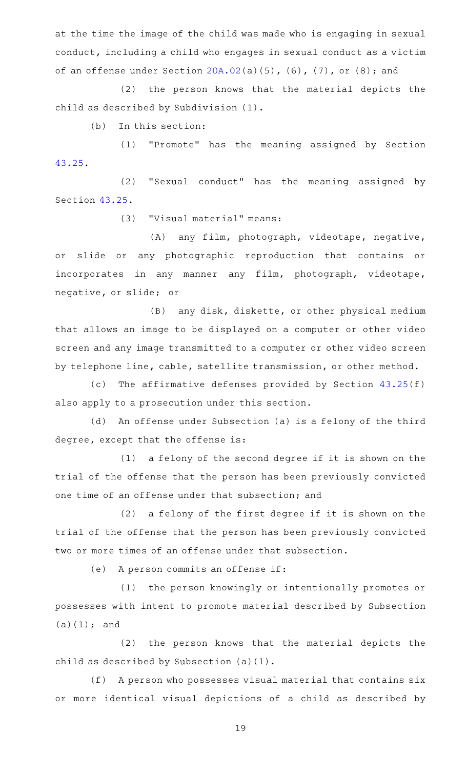at the time the image of the child was made who is engaging in sexual conduct, including a child who engages in sexual conduct as a victim of an offense under Section [20A.02](http://www.statutes.legis.state.tx.us/GetStatute.aspx?Code=PE&Value=20A.02)(a)(5), (6), (7), or (8); and

(2) the person knows that the material depicts the child as described by Subdivision (1).

 $(b)$  In this section:

(1) "Promote" has the meaning assigned by Section [43.25.](http://www.statutes.legis.state.tx.us/GetStatute.aspx?Code=PE&Value=43.25)

(2) "Sexual conduct" has the meaning assigned by Section [43.25.](http://www.statutes.legis.state.tx.us/GetStatute.aspx?Code=PE&Value=43.25)

(3) "Visual material" means:

(A) any film, photograph, videotape, negative, or slide or any photographic reproduction that contains or incorporates in any manner any film, photograph, videotape, negative, or slide; or

(B) any disk, diskette, or other physical medium that allows an image to be displayed on a computer or other video screen and any image transmitted to a computer or other video screen by telephone line, cable, satellite transmission, or other method.

(c) The affirmative defenses provided by Section  $43.25(f)$  $43.25(f)$ also apply to a prosecution under this section.

(d) An offense under Subsection (a) is a felony of the third degree, except that the offense is:

 $(1)$  a felony of the second degree if it is shown on the trial of the offense that the person has been previously convicted one time of an offense under that subsection; and

 $(2)$  a felony of the first degree if it is shown on the trial of the offense that the person has been previously convicted two or more times of an offense under that subsection.

(e) A person commits an offense if:

(1) the person knowingly or intentionally promotes or possesses with intent to promote material described by Subsection (a)(1); and

(2) the person knows that the material depicts the child as described by Subsection (a)(1).

(f) A person who possesses visual material that contains six or more identical visual depictions of a child as described by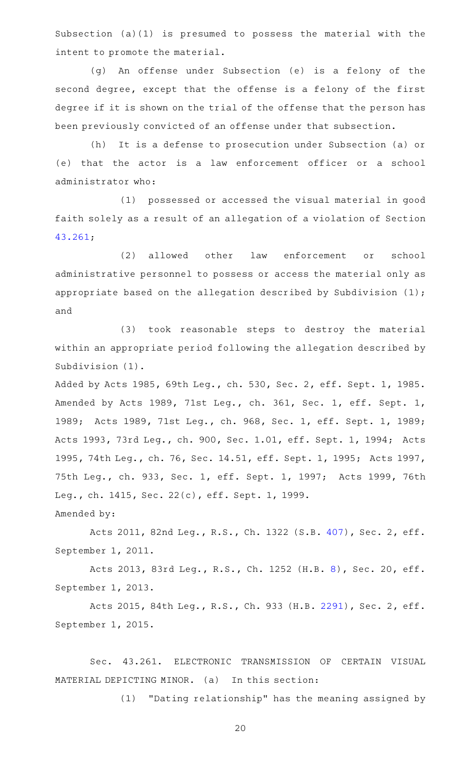Subsection (a)(1) is presumed to possess the material with the intent to promote the material.

(g) An offense under Subsection (e) is a felony of the second degree, except that the offense is a felony of the first degree if it is shown on the trial of the offense that the person has been previously convicted of an offense under that subsection.

(h) It is a defense to prosecution under Subsection (a) or (e) that the actor is a law enforcement officer or a school administrator who:

(1) possessed or accessed the visual material in good faith solely as a result of an allegation of a violation of Section [43.261](http://www.statutes.legis.state.tx.us/GetStatute.aspx?Code=PE&Value=43.261);

(2) allowed other law enforcement or school administrative personnel to possess or access the material only as appropriate based on the allegation described by Subdivision (1); and

(3) took reasonable steps to destroy the material within an appropriate period following the allegation described by Subdivision (1).

Added by Acts 1985, 69th Leg., ch. 530, Sec. 2, eff. Sept. 1, 1985. Amended by Acts 1989, 71st Leg., ch. 361, Sec. 1, eff. Sept. 1, 1989; Acts 1989, 71st Leg., ch. 968, Sec. 1, eff. Sept. 1, 1989; Acts 1993, 73rd Leg., ch. 900, Sec. 1.01, eff. Sept. 1, 1994; Acts 1995, 74th Leg., ch. 76, Sec. 14.51, eff. Sept. 1, 1995; Acts 1997, 75th Leg., ch. 933, Sec. 1, eff. Sept. 1, 1997; Acts 1999, 76th Leg., ch. 1415, Sec. 22(c), eff. Sept. 1, 1999. Amended by:

Acts 2011, 82nd Leg., R.S., Ch. 1322 (S.B. [407](http://www.legis.state.tx.us/tlodocs/82R/billtext/html/SB00407F.HTM)), Sec. 2, eff. September 1, 2011.

Acts 2013, 83rd Leg., R.S., Ch. 1252 (H.B. [8\)](http://www.legis.state.tx.us/tlodocs/83R/billtext/html/HB00008F.HTM), Sec. 20, eff. September 1, 2013.

Acts 2015, 84th Leg., R.S., Ch. 933 (H.B. [2291](http://www.legis.state.tx.us/tlodocs/84R/billtext/html/HB02291F.HTM)), Sec. 2, eff. September 1, 2015.

Sec. 43.261. ELECTRONIC TRANSMISSION OF CERTAIN VISUAL MATERIAL DEPICTING MINOR. (a) In this section:

 $(1)$  "Dating relationship" has the meaning assigned by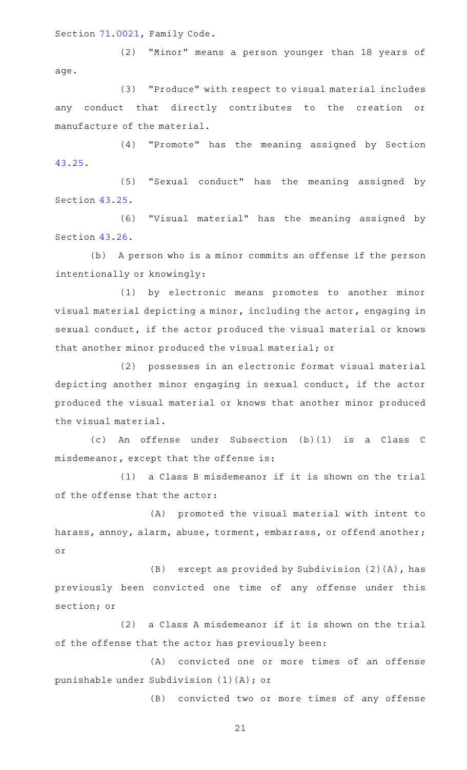Section [71.0021,](http://www.statutes.legis.state.tx.us/GetStatute.aspx?Code=FA&Value=71.0021) Family Code.

(2) "Minor" means a person younger than 18 years of age.

(3) "Produce" with respect to visual material includes any conduct that directly contributes to the creation or manufacture of the material.

(4) "Promote" has the meaning assigned by Section [43.25.](http://www.statutes.legis.state.tx.us/GetStatute.aspx?Code=PE&Value=43.25)

(5) "Sexual conduct" has the meaning assigned by Section [43.25.](http://www.statutes.legis.state.tx.us/GetStatute.aspx?Code=PE&Value=43.25)

(6) "Visual material" has the meaning assigned by Section [43.26.](http://www.statutes.legis.state.tx.us/GetStatute.aspx?Code=PE&Value=43.26)

(b) A person who is a minor commits an offense if the person intentionally or knowingly:

(1) by electronic means promotes to another minor visual material depicting a minor, including the actor, engaging in sexual conduct, if the actor produced the visual material or knows that another minor produced the visual material; or

(2) possesses in an electronic format visual material depicting another minor engaging in sexual conduct, if the actor produced the visual material or knows that another minor produced the visual material.

(c)AAAn offense under Subsection (b)(1) is a Class C misdemeanor, except that the offense is:

(1) a Class B misdemeanor if it is shown on the trial of the offense that the actor:

(A) promoted the visual material with intent to harass, annoy, alarm, abuse, torment, embarrass, or offend another; or

(B) except as provided by Subdivision  $(2)(A)$ , has previously been convicted one time of any offense under this section; or

(2) a Class A misdemeanor if it is shown on the trial of the offense that the actor has previously been:

(A) convicted one or more times of an offense punishable under Subdivision (1)(A); or

(B) convicted two or more times of any offense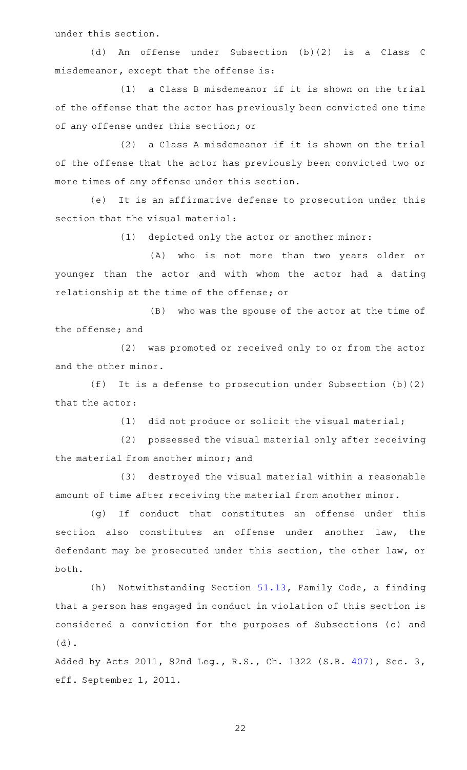under this section.

(d) An offense under Subsection (b)(2) is a Class C misdemeanor, except that the offense is:

(1) a Class B misdemeanor if it is shown on the trial of the offense that the actor has previously been convicted one time of any offense under this section; or

(2) a Class A misdemeanor if it is shown on the trial of the offense that the actor has previously been convicted two or more times of any offense under this section.

(e) It is an affirmative defense to prosecution under this section that the visual material:

(1) depicted only the actor or another minor:

(A) who is not more than two years older or younger than the actor and with whom the actor had a dating relationship at the time of the offense; or

(B) who was the spouse of the actor at the time of the offense; and

(2) was promoted or received only to or from the actor and the other minor.

(f) It is a defense to prosecution under Subsection  $(b)(2)$ that the actor:

 $(1)$  did not produce or solicit the visual material;

(2) possessed the visual material only after receiving the material from another minor; and

(3) destroyed the visual material within a reasonable amount of time after receiving the material from another minor.

(g) If conduct that constitutes an offense under this section also constitutes an offense under another law, the defendant may be prosecuted under this section, the other law, or both.

(h) Notwithstanding Section [51.13,](http://www.statutes.legis.state.tx.us/GetStatute.aspx?Code=FA&Value=51.13) Family Code, a finding that a person has engaged in conduct in violation of this section is considered a conviction for the purposes of Subsections (c) and (d).

Added by Acts 2011, 82nd Leg., R.S., Ch. 1322 (S.B. [407](http://www.legis.state.tx.us/tlodocs/82R/billtext/html/SB00407F.HTM)), Sec. 3, eff. September 1, 2011.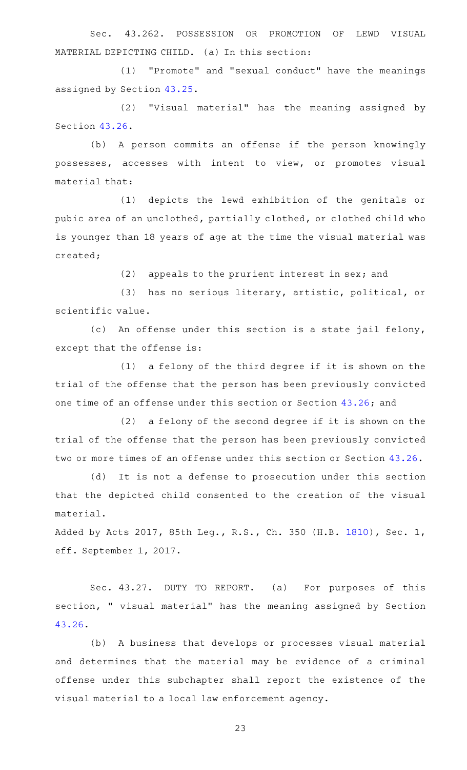Sec. 43.262. POSSESSION OR PROMOTION OF LEWD VISUAL MATERIAL DEPICTING CHILD. (a) In this section:

(1) "Promote" and "sexual conduct" have the meanings assigned by Section [43.25](http://www.statutes.legis.state.tx.us/GetStatute.aspx?Code=PE&Value=43.25).

(2) "Visual material" has the meaning assigned by Section [43.26.](http://www.statutes.legis.state.tx.us/GetStatute.aspx?Code=PE&Value=43.26)

(b) A person commits an offense if the person knowingly possesses, accesses with intent to view, or promotes visual material that:

(1) depicts the lewd exhibition of the genitals or pubic area of an unclothed, partially clothed, or clothed child who is younger than 18 years of age at the time the visual material was created;

(2) appeals to the prurient interest in sex; and

(3) has no serious literary, artistic, political, or scientific value.

(c) An offense under this section is a state jail felony, except that the offense is:

 $(1)$  a felony of the third degree if it is shown on the trial of the offense that the person has been previously convicted one time of an offense under this section or Section [43.26;](http://www.statutes.legis.state.tx.us/GetStatute.aspx?Code=PE&Value=43.26) and

 $(2)$  a felony of the second degree if it is shown on the trial of the offense that the person has been previously convicted two or more times of an offense under this section or Section [43.26.](http://www.statutes.legis.state.tx.us/GetStatute.aspx?Code=PE&Value=43.26)

(d) It is not a defense to prosecution under this section that the depicted child consented to the creation of the visual material.

Added by Acts 2017, 85th Leg., R.S., Ch. 350 (H.B. [1810](http://www.legis.state.tx.us/tlodocs/85R/billtext/html/HB01810F.HTM)), Sec. 1, eff. September 1, 2017.

Sec. 43.27. DUTY TO REPORT. (a) For purposes of this section, " visual material" has the meaning assigned by Section [43.26.](http://www.statutes.legis.state.tx.us/GetStatute.aspx?Code=PE&Value=43.26)

(b) A business that develops or processes visual material and determines that the material may be evidence of a criminal offense under this subchapter shall report the existence of the visual material to a local law enforcement agency.